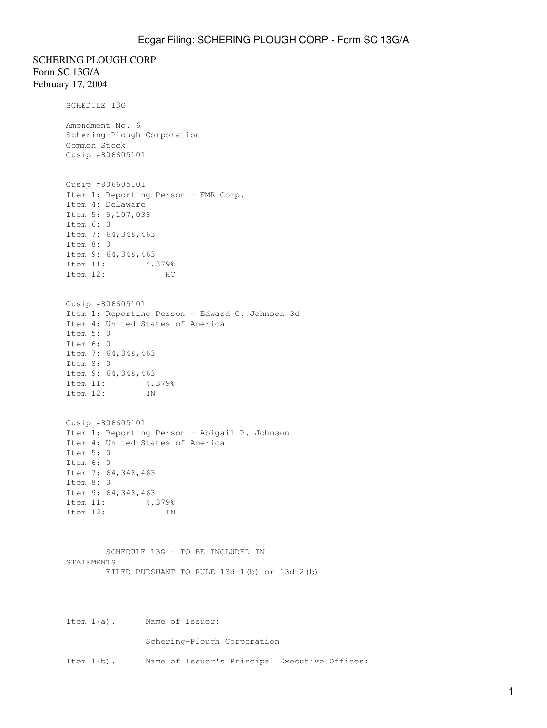SCHERING PLOUGH CORP Form SC 13G/A February 17, 2004

> SCHEDULE 13G Amendment No. 6 Schering-Plough Corporation Common Stock Cusip #806605101 Cusip #806605101 Item 1: Reporting Person - FMR Corp. Item 4: Delaware Item 5: 5,107,038 Item 6: 0 Item 7: 64,348,463 Item 8: 0 Item 9: 64,348,463 Item 11: 4.379% Item 12: HC Cusip #806605101 Item 1: Reporting Person - Edward C. Johnson 3d Item 4: United States of America Item 5: 0 Item 6: 0 Item 7: 64,348,463 Item 8: 0 Item 9: 64,348,463 Item 11: 4.379% Item 12: IN Cusip #806605101 Item 1: Reporting Person - Abigail P. Johnson Item 4: United States of America Item 5: 0 Item 6: 0 Item 7: 64,348,463 Item 8: 0 Item 9: 64,348,463 Item 11: 4.379% Item 12: IN SCHEDULE 13G - TO BE INCLUDED IN STATEMENTS FILED PURSUANT TO RULE 13d-1(b) or 13d-2(b)

Item 1(a). Name of Issuer:

Schering-Plough Corporation

Item 1(b). Name of Issuer's Principal Executive Offices: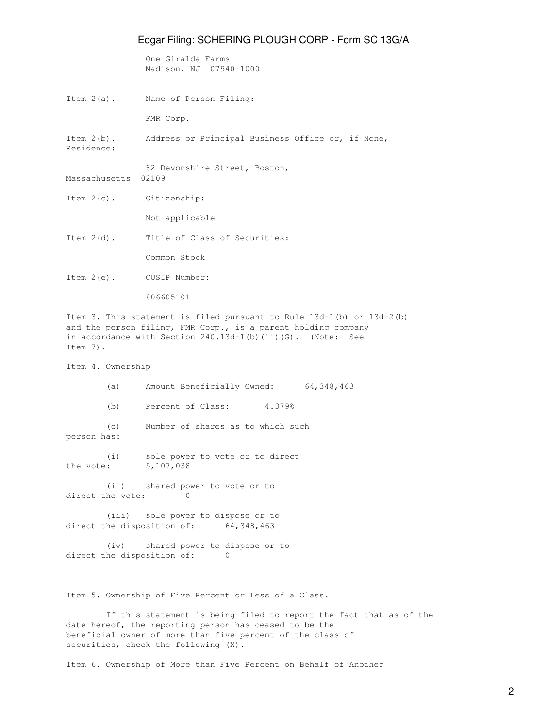One Giralda Farms Madison, NJ 07940-1000

Item 2(a). Name of Person Filing:

FMR Corp.

Item 2(b). Address or Principal Business Office or, if None, Residence:

82 Devonshire Street, Boston, Massachusetts 02109

Item 2(c). Citizenship:

Not applicable

Item 2(d). Title of Class of Securities:

Common Stock

Item 2(e). CUSIP Number:

806605101

Item 3. This statement is filed pursuant to Rule 13d-1(b) or 13d-2(b) and the person filing, FMR Corp., is a parent holding company in accordance with Section 240.13d-1(b)(ii)(G). (Note: See Item 7).

Item 4. Ownership

 (a) Amount Beneficially Owned: 64,348,463 (b) Percent of Class: 4.379%

 (c) Number of shares as to which such person has:

 (i) sole power to vote or to direct the vote: 5,107,038

 (ii) shared power to vote or to direct the vote: 0

 (iii) sole power to dispose or to direct the disposition of: 64,348,463

 (iv) shared power to dispose or to direct the disposition of: 0

Item 5. Ownership of Five Percent or Less of a Class.

 If this statement is being filed to report the fact that as of the date hereof, the reporting person has ceased to be the beneficial owner of more than five percent of the class of securities, check the following (X).

Item 6. Ownership of More than Five Percent on Behalf of Another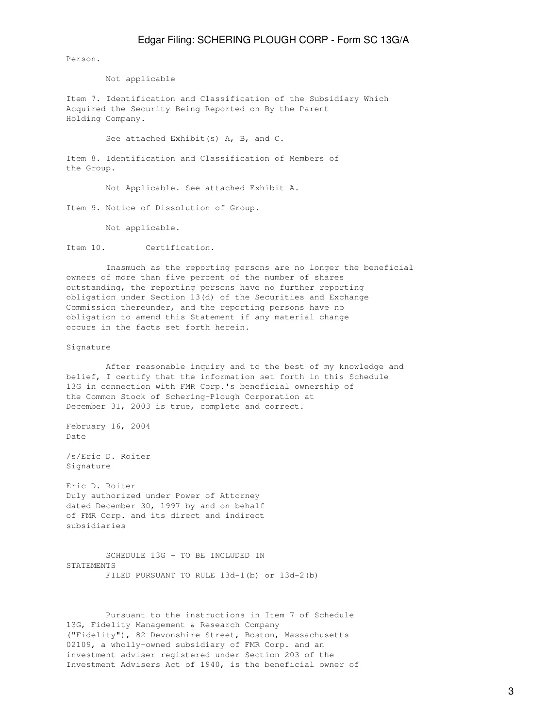Person.

Not applicable

Item 7. Identification and Classification of the Subsidiary Which Acquired the Security Being Reported on By the Parent Holding Company.

See attached Exhibit(s) A, B, and C.

Item 8. Identification and Classification of Members of the Group.

Not Applicable. See attached Exhibit A.

Item 9. Notice of Dissolution of Group.

Not applicable.

Item 10. Certification.

 Inasmuch as the reporting persons are no longer the beneficial owners of more than five percent of the number of shares outstanding, the reporting persons have no further reporting obligation under Section 13(d) of the Securities and Exchange Commission thereunder, and the reporting persons have no obligation to amend this Statement if any material change occurs in the facts set forth herein.

Signature

 After reasonable inquiry and to the best of my knowledge and belief, I certify that the information set forth in this Schedule 13G in connection with FMR Corp.'s beneficial ownership of the Common Stock of Schering-Plough Corporation at December 31, 2003 is true, complete and correct.

February 16, 2004 Date

/s/Eric D. Roiter Signature

Eric D. Roiter Duly authorized under Power of Attorney dated December 30, 1997 by and on behalf of FMR Corp. and its direct and indirect subsidiaries

 SCHEDULE 13G - TO BE INCLUDED IN STATEMENTS FILED PURSUANT TO RULE 13d-1(b) or 13d-2(b)

 Pursuant to the instructions in Item 7 of Schedule 13G, Fidelity Management & Research Company ("Fidelity"), 82 Devonshire Street, Boston, Massachusetts 02109, a wholly-owned subsidiary of FMR Corp. and an investment adviser registered under Section 203 of the Investment Advisers Act of 1940, is the beneficial owner of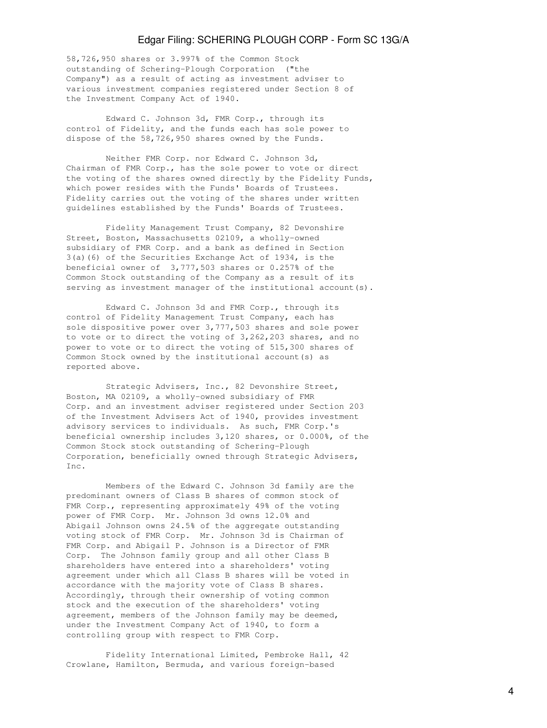58,726,950 shares or 3.997% of the Common Stock outstanding of Schering-Plough Corporation ("the Company") as a result of acting as investment adviser to various investment companies registered under Section 8 of the Investment Company Act of 1940.

 Edward C. Johnson 3d, FMR Corp., through its control of Fidelity, and the funds each has sole power to dispose of the 58,726,950 shares owned by the Funds.

 Neither FMR Corp. nor Edward C. Johnson 3d, Chairman of FMR Corp., has the sole power to vote or direct the voting of the shares owned directly by the Fidelity Funds, which power resides with the Funds' Boards of Trustees. Fidelity carries out the voting of the shares under written guidelines established by the Funds' Boards of Trustees.

 Fidelity Management Trust Company, 82 Devonshire Street, Boston, Massachusetts 02109, a wholly-owned subsidiary of FMR Corp. and a bank as defined in Section 3(a)(6) of the Securities Exchange Act of 1934, is the beneficial owner of 3,777,503 shares or 0.257% of the Common Stock outstanding of the Company as a result of its serving as investment manager of the institutional account(s).

 Edward C. Johnson 3d and FMR Corp., through its control of Fidelity Management Trust Company, each has sole dispositive power over 3,777,503 shares and sole power to vote or to direct the voting of 3,262,203 shares, and no power to vote or to direct the voting of 515,300 shares of Common Stock owned by the institutional account(s) as reported above.

 Strategic Advisers, Inc., 82 Devonshire Street, Boston, MA 02109, a wholly-owned subsidiary of FMR Corp. and an investment adviser registered under Section 203 of the Investment Advisers Act of 1940, provides investment advisory services to individuals. As such, FMR Corp.'s beneficial ownership includes 3,120 shares, or 0.000%, of the Common Stock stock outstanding of Schering-Plough Corporation, beneficially owned through Strategic Advisers, Inc.

 Members of the Edward C. Johnson 3d family are the predominant owners of Class B shares of common stock of FMR Corp., representing approximately 49% of the voting power of FMR Corp. Mr. Johnson 3d owns 12.0% and Abigail Johnson owns 24.5% of the aggregate outstanding voting stock of FMR Corp. Mr. Johnson 3d is Chairman of FMR Corp. and Abigail P. Johnson is a Director of FMR Corp. The Johnson family group and all other Class B shareholders have entered into a shareholders' voting agreement under which all Class B shares will be voted in accordance with the majority vote of Class B shares. Accordingly, through their ownership of voting common stock and the execution of the shareholders' voting agreement, members of the Johnson family may be deemed, under the Investment Company Act of 1940, to form a controlling group with respect to FMR Corp.

 Fidelity International Limited, Pembroke Hall, 42 Crowlane, Hamilton, Bermuda, and various foreign-based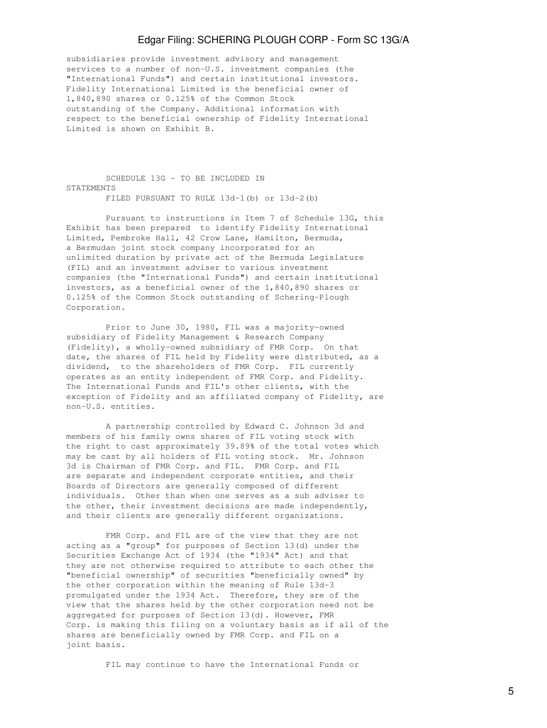subsidiaries provide investment advisory and management services to a number of non-U.S. investment companies (the "International Funds") and certain institutional investors. Fidelity International Limited is the beneficial owner of 1,840,890 shares or 0.125% of the Common Stock outstanding of the Company. Additional information with respect to the beneficial ownership of Fidelity International Limited is shown on Exhibit B.

 SCHEDULE 13G - TO BE INCLUDED IN **STATEMENTS** FILED PURSUANT TO RULE 13d-1(b) or 13d-2(b)

 Pursuant to instructions in Item 7 of Schedule 13G, this Exhibit has been prepared to identify Fidelity International Limited, Pembroke Hall, 42 Crow Lane, Hamilton, Bermuda, a Bermudan joint stock company incorporated for an unlimited duration by private act of the Bermuda Legislature (FIL) and an investment adviser to various investment companies (the "International Funds") and certain institutional investors, as a beneficial owner of the 1,840,890 shares or 0.125% of the Common Stock outstanding of Schering-Plough Corporation.

 Prior to June 30, 1980, FIL was a majority-owned subsidiary of Fidelity Management & Research Company (Fidelity), a wholly-owned subsidiary of FMR Corp. On that date, the shares of FIL held by Fidelity were distributed, as a dividend, to the shareholders of FMR Corp. FIL currently operates as an entity independent of FMR Corp. and Fidelity. The International Funds and FIL's other clients, with the exception of Fidelity and an affiliated company of Fidelity, are non-U.S. entities.

 A partnership controlled by Edward C. Johnson 3d and members of his family owns shares of FIL voting stock with the right to cast approximately 39.89% of the total votes which may be cast by all holders of FIL voting stock. Mr. Johnson 3d is Chairman of FMR Corp. and FIL. FMR Corp. and FIL are separate and independent corporate entities, and their Boards of Directors are generally composed of different individuals. Other than when one serves as a sub adviser to the other, their investment decisions are made independently, and their clients are generally different organizations.

 FMR Corp. and FIL are of the view that they are not acting as a "group" for purposes of Section 13(d) under the Securities Exchange Act of 1934 (the "1934" Act) and that they are not otherwise required to attribute to each other the "beneficial ownership" of securities "beneficially owned" by the other corporation within the meaning of Rule 13d-3 promulgated under the 1934 Act. Therefore, they are of the view that the shares held by the other corporation need not be aggregated for purposes of Section 13(d). However, FMR Corp. is making this filing on a voluntary basis as if all of the shares are beneficially owned by FMR Corp. and FIL on a joint basis.

FIL may continue to have the International Funds or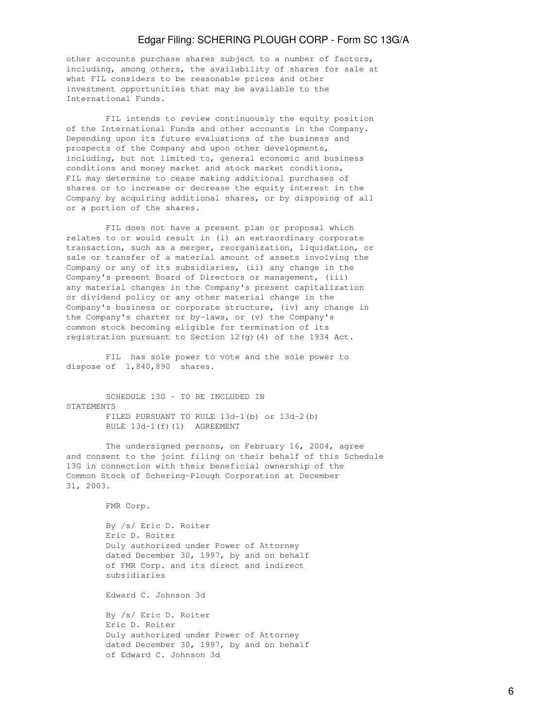other accounts purchase shares subject to a number of factors, including, among others, the availability of shares for sale at what FIL considers to be reasonable prices and other investment opportunities that may be available to the International Funds.

 FIL intends to review continuously the equity position of the International Funds and other accounts in the Company. Depending upon its future evaluations of the business and prospects of the Company and upon other developments, including, but not limited to, general economic and business conditions and money market and stock market conditions, FIL may determine to cease making additional purchases of shares or to increase or decrease the equity interest in the Company by acquiring additional shares, or by disposing of all or a portion of the shares.

 FIL does not have a present plan or proposal which relates to or would result in (i) an extraordinary corporate transaction, such as a merger, reorganization, liquidation, or sale or transfer of a material amount of assets involving the Company or any of its subsidiaries, (ii) any change in the Company's present Board of Directors or management, (iii) any material changes in the Company's present capitalization or dividend policy or any other material change in the Company's business or corporate structure, (iv) any change in the Company's charter or by-laws, or (v) the Company's common stock becoming eligible for termination of its registration pursuant to Section  $12(q)$  (4) of the 1934 Act.

 FIL has sole power to vote and the sole power to dispose of 1,840,890 shares.

 SCHEDULE 13G - TO BE INCLUDED IN **STATEMENTS**  FILED PURSUANT TO RULE 13d-1(b) or 13d-2(b) RULE 13d-1(f)(1) AGREEMENT

 The undersigned persons, on February 16, 2004, agree and consent to the joint filing on their behalf of this Schedule 13G in connection with their beneficial ownership of the Common Stock of Schering-Plough Corporation at December 31, 2003.

FMR Corp.

 By /s/ Eric D. Roiter Eric D. Roiter Duly authorized under Power of Attorney dated December 30, 1997, by and on behalf of FMR Corp. and its direct and indirect subsidiaries

Edward C. Johnson 3d

 By /s/ Eric D. Roiter Eric D. Roiter Duly authorized under Power of Attorney dated December 30, 1997, by and on behalf of Edward C. Johnson 3d